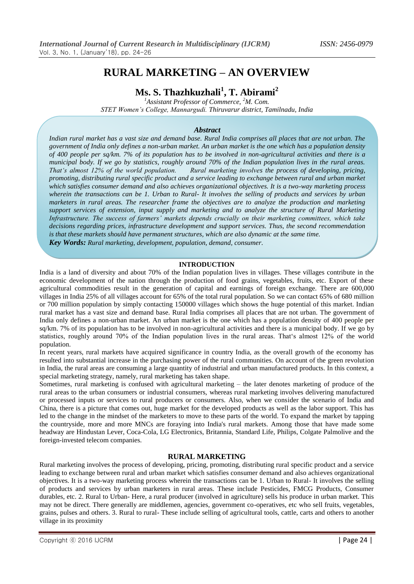# **RURAL MARKETING – AN OVERVIEW**

**Ms. S. Thazhkuzhali<sup>1</sup> , T. Abirami<sup>2</sup>**

*<sup>1</sup>Assistant Professor of Commerce, <sup>2</sup>M. Com. STET Women's College, Mannargudi. Thiruvarur district, Tamilnadu, India*

## *Abstract*

*Indian rural market has a vast size and demand base. Rural India comprises all places that are not urban. The government of India only defines a non-urban market. An urban market is the one which has a population density of 400 people per sq/km. 7% of its population has to be involved in non-agricultural activities and there is a municipal body. If we go by statistics, roughly around 70% of the Indian population lives in the rural areas. That's almost 12% of the world population. Rural marketing involves the process of developing, pricing, Rural marketing involves the process of developing, pricing, promoting, distributing rural specific product and a service leading to exchange between rural and urban market which satisfies consumer demand and also achieves organizational objectives. It is a two-way marketing process wherein the transactions can be 1. Urban to Rural- It involves the selling of products and services by urban marketers in rural areas. The researcher frame the objectives are to analyze the production and marketing support services of extension, input supply and marketing and to analyze the structure of Rural Marketing Infrastructure. The success of farmers' markets depends crucially on their marketing committees, which take decisions regarding prices, infrastructure development and support services. Thus, the second recommendation is that these markets should have permanent structures, which are also dynamic at the same time.* 

*Key Words: Rural marketing, development, population, demand, consumer.*

#### **INTRODUCTION**

India is a land of diversity and about 70% of the Indian population lives in villages. These villages contribute in the economic development of the nation through the production of food grains, vegetables, fruits, etc. Export of these agricultural commodities result in the generation of capital and earnings of foreign exchange. There are 600,000 villages in India 25% of all villages account for 65% of the total rural population. So we can contact 65% of 680 million or 700 million population by simply contacting 150000 villages which shows the huge potential of this market. Indian rural market has a vast size and demand base. Rural India comprises all places that are not urban. The government of India only defines a non-urban market. An urban market is the one which has a population density of 400 people per sq/km. 7% of its population has to be involved in non-agricultural activities and there is a municipal body. If we go by statistics, roughly around 70% of the Indian population lives in the rural areas. That"s almost 12% of the world population.

In recent years, rural markets have acquired significance in country India, as the overall growth of the economy has resulted into substantial increase in the purchasing power of the rural communities. On account of the green revolution in India, the rural areas are consuming a large quantity of industrial and urban manufactured products. In this context, a special marketing strategy, namely, rural marketing has taken shape.

Sometimes, rural marketing is confused with agricultural marketing – the later denotes marketing of produce of the rural areas to the urban consumers or industrial consumers, whereas rural marketing involves delivering manufactured or processed inputs or services to rural producers or consumers. Also, when we consider the scenario of India and China, there is a picture that comes out, huge market for the developed products as well as the labor support. This has led to the change in the mindset of the marketers to move to these parts of the world. To expand the market by tapping the countryside, more and more MNCs are foraying into India's rural markets. Among those that have made some headway are Hindustan Lever, Coca-Cola, LG Electronics, Britannia, Standard Life, Philips, Colgate Palmolive and the foreign-invested telecom companies.

## **RURAL MARKETING**

Rural marketing involves the process of developing, pricing, promoting, distributing rural specific product and a service leading to exchange between rural and urban market which satisfies consumer demand and also achieves organizational objectives. It is a two-way marketing process wherein the transactions can be 1. Urban to Rural- It involves the selling of products and services by urban marketers in rural areas. These include Pesticides, FMCG Products, Consumer durables, etc. 2. Rural to Urban- Here, a rural producer (involved in agriculture) sells his produce in urban market. This may not be direct. There generally are middlemen, agencies, government co-operatives, etc who sell fruits, vegetables, grains, pulses and others. 3. Rural to rural- These include selling of agricultural tools, cattle, carts and others to another village in its proximity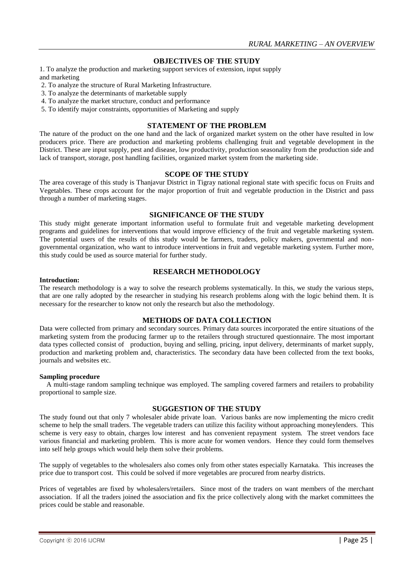## **OBJECTIVES OF THE STUDY**

1. To analyze the production and marketing support services of extension, input supply and marketing

- 2. To analyze the structure of Rural Marketing Infrastructure.
- 3. To analyze the determinants of marketable supply
- 4. To analyze the market structure, conduct and performance
- 5. To identify major constraints, opportunities of Marketing and supply

## **STATEMENT OF THE PROBLEM**

The nature of the product on the one hand and the lack of organized market system on the other have resulted in low producers price. There are production and marketing problems challenging fruit and vegetable development in the District. These are input supply, pest and disease, low productivity, production seasonality from the production side and lack of transport, storage, post handling facilities, organized market system from the marketing side.

### **SCOPE OF THE STUDY**

The area coverage of this study is Thanjavur District in Tigray national regional state with specific focus on Fruits and Vegetables. These crops account for the major proportion of fruit and vegetable production in the District and pass through a number of marketing stages.

#### **SIGNIFICANCE OF THE STUDY**

This study might generate important information useful to formulate fruit and vegetable marketing development programs and guidelines for interventions that would improve efficiency of the fruit and vegetable marketing system. The potential users of the results of this study would be farmers, traders, policy makers, governmental and nongovernmental organization, who want to introduce interventions in fruit and vegetable marketing system. Further more, this study could be used as source material for further study.

## **RESEARCH METHODOLOGY**

#### **Introduction:**

The research methodology is a way to solve the research problems systematically. In this, we study the various steps, that are one rally adopted by the researcher in studying his research problems along with the logic behind them. It is necessary for the researcher to know not only the research but also the methodology.

#### **METHODS OF DATA COLLECTION**

Data were collected from primary and secondary sources. Primary data sources incorporated the entire situations of the marketing system from the producing farmer up to the retailers through structured questionnaire. The most important data types collected consist of production, buying and selling, pricing, input delivery, determinants of market supply, production and marketing problem and, characteristics. The secondary data have been collected from the text books, journals and websites etc.

#### **Sampling procedure**

 A multi-stage random sampling technique was employed. The sampling covered farmers and retailers to probability proportional to sample size.

## **SUGGESTION OF THE STUDY**

The study found out that only 7 wholesaler abide private loan. Various banks are now implementing the micro credit scheme to help the small traders. The vegetable traders can utilize this facility without approaching moneylenders. This scheme is very easy to obtain, charges low interest and has convenient repayment system. The street vendors face various financial and marketing problem. This is more acute for women vendors. Hence they could form themselves into self help groups which would help them solve their problems.

The supply of vegetables to the wholesalers also comes only from other states especially Karnataka. This increases the price due to transport cost. This could be solved if more vegetables are procured from nearby districts.

Prices of vegetables are fixed by wholesalers/retailers. Since most of the traders on want members of the merchant association. If all the traders joined the association and fix the price collectively along with the market committees the prices could be stable and reasonable.